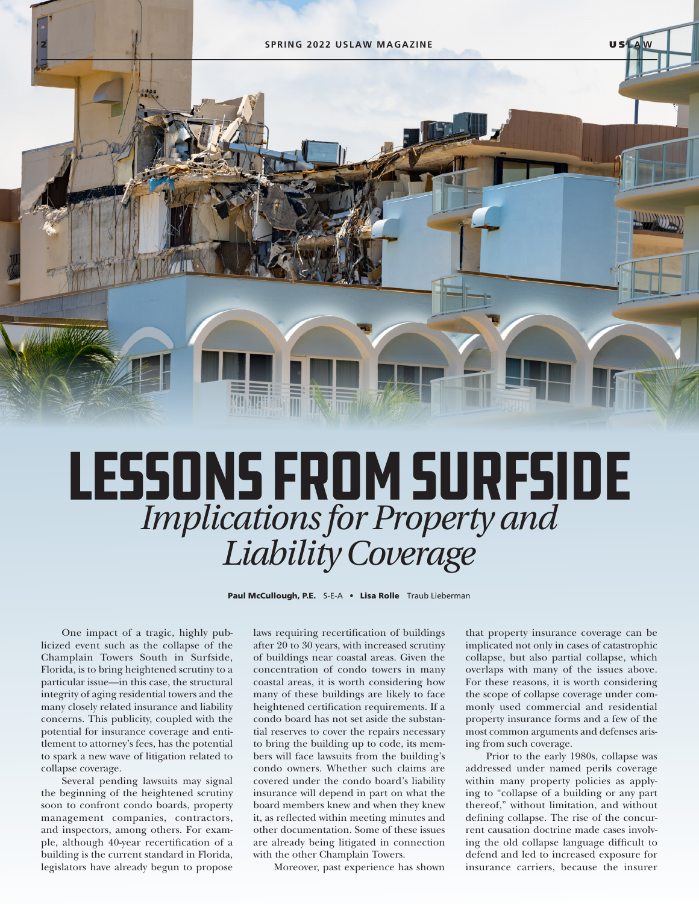

## Lessons from Surfside *Implications for Property and Liability Coverage*

Paul McCullough, P.E. S-E-A . Lisa Rolle Traub Lieberman

One impact of a tragic, highly publicized event such as the collapse of the Champlain Towers South in Surfside, Florida, is to bring heightened scrutiny to a particular issue—in this case, the structural integrity of aging residential towers and the many closely related insurance and liability concerns. This publicity, coupled with the potential for insurance coverage and entitlement to attorney's fees, has the potential to spark a new wave of litigation related to collapse coverage.

Several pending lawsuits may signal the beginning of the heightened scrutiny soon to confront condo boards, property management companies, contractors, and inspectors, among others. For example, although 40-year recertification of a building is the current standard in Florida, legislators have already begun to propose

laws requiring recertification of buildings after 20 to 30 years, with increased scrutiny of buildings near coastal areas. Given the concentration of condo towers in many coastal areas, it is worth considering how many of these buildings are likely to face heightened certification requirements. If a condo board has not set aside the substantial reserves to cover the repairs necessary to bring the building up to code, its members will face lawsuits from the building's condo owners. Whether such claims are covered under the condo board's liability insurance will depend in part on what the board members knew and when they knew it, as reflected within meeting minutes and other documentation. Some of these issues are already being litigated in connection with the other Champlain Towers.

Moreover, past experience has shown

that property insurance coverage can be implicated not only in cases of catastrophic collapse, but also partial collapse, which overlaps with many of the issues above. For these reasons, it is worth considering the scope of collapse coverage under commonly used commercial and residential property insurance forms and a few of the most common arguments and defenses arising from such coverage.

Prior to the early 1980s, collapse was addressed under named perils coverage within many property policies as applying to "collapse of a building or any part thereof," without limitation, and without defining collapse. The rise of the concurrent causation doctrine made cases involving the old collapse language difficult to defend and led to increased exposure for insurance carriers, because the insurer